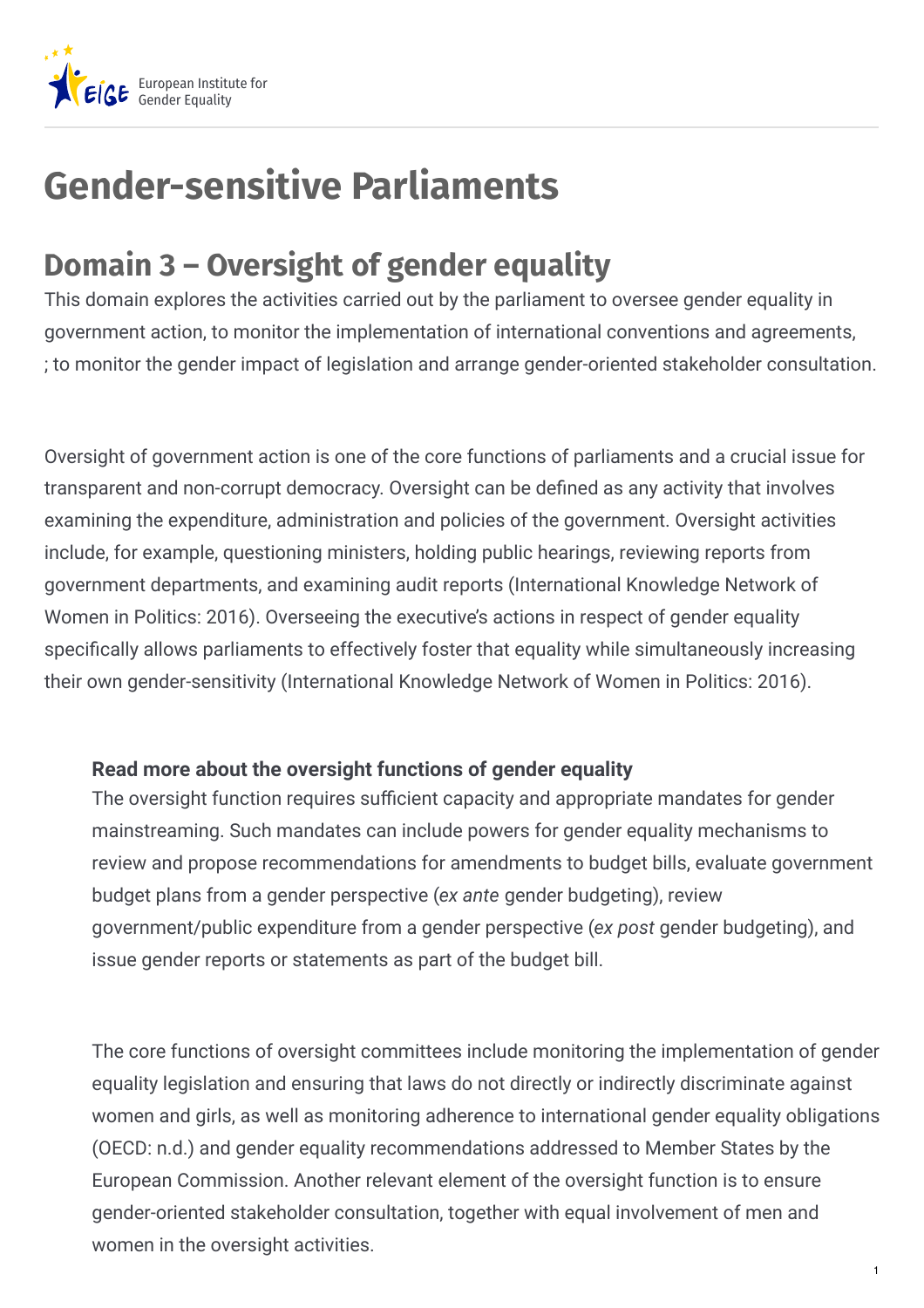

## **Gender-sensitive Parliaments**

## **Domain 3 – Oversight of gender equality**

This domain explores the activities carried out by the parliament to oversee gender equality in government action, to monitor the implementation of international conventions and agreements, ; to monitor the gender impact of legislation and arrange gender-oriented stakeholder consultation.

Oversight of government action is one of the core functions of parliaments and a crucial issue for transparent and non-corrupt democracy. Oversight can be defined as any activity that involves examining the expenditure, administration and policies of the government. Oversight activities include, for example, questioning ministers, holding public hearings, reviewing reports from government departments, and examining audit reports (International Knowledge Network of Women in Politics: 2016). Overseeing the executive's actions in respect of gender equality specifically allows parliaments to effectively foster that equality while simultaneously increasing their own gender-sensitivity (International Knowledge Network of Women in Politics: 2016).

## **Read more about the oversight functions of gender equality**

The oversight function requires sufficient capacity and appropriate mandates for gender mainstreaming. Such mandates can include powers for gender equality mechanisms to review and propose recommendations for amendments to budget bills, evaluate government budget plans from a gender perspective (*ex ante* gender budgeting), review government/public expenditure from a gender perspective (*ex post* gender budgeting), and issue gender reports or statements as part of the budget bill.

The core functions of oversight committees include monitoring the implementation of gender equality legislation and ensuring that laws do not directly or indirectly discriminate against women and girls, as well as monitoring adherence to international gender equality obligations (OECD: n.d.) and gender equality recommendations addressed to Member States by the European Commission. Another relevant element of the oversight function is to ensure gender-oriented stakeholder consultation, together with equal involvement of men and women in the oversight activities.